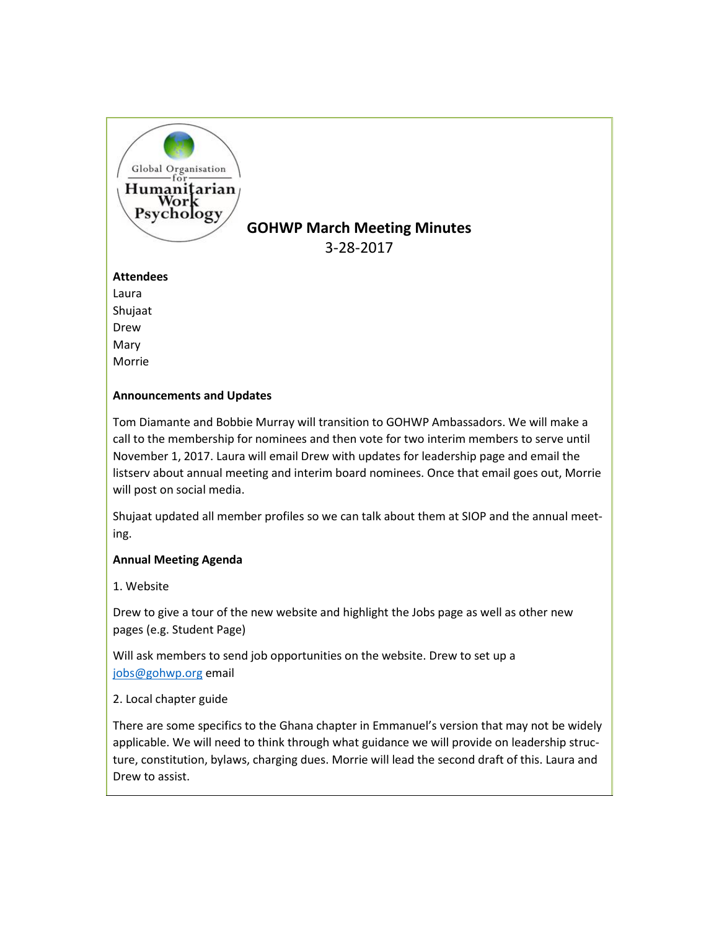

# **GOHWP March Meeting Minutes**

3-28-2017

## **Attendees**

Laura Shujaat Drew Mary Morrie

## **Announcements and Updates**

Tom Diamante and Bobbie Murray will transition to GOHWP Ambassadors. We will make a call to the membership for nominees and then vote for two interim members to serve until November 1, 2017. Laura will email Drew with updates for leadership page and email the listserv about annual meeting and interim board nominees. Once that email goes out, Morrie will post on social media.

Shujaat updated all member profiles so we can talk about them at SIOP and the annual meeting.

# **Annual Meeting Agenda**

1. Website

Drew to give a tour of the new website and highlight the Jobs page as well as other new pages (e.g. Student Page)

Will ask members to send job opportunities on the website. Drew to set up a [jobs@gohwp.org](mailto:jobs@gohwp.org) email

2. Local chapter guide

There are some specifics to the Ghana chapter in Emmanuel's version that may not be widely applicable. We will need to think through what guidance we will provide on leadership structure, constitution, bylaws, charging dues. Morrie will lead the second draft of this. Laura and Drew to assist.